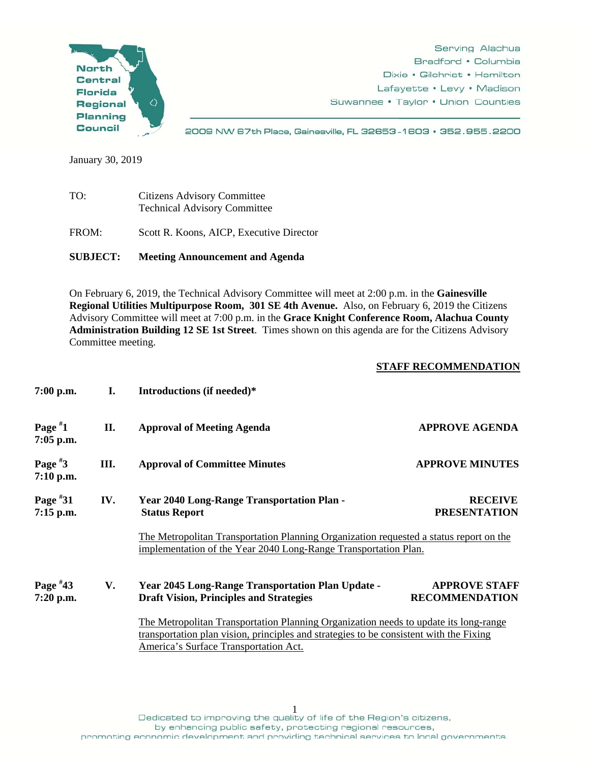

Serving Alachua Bradford • Columbia Dixie • Gilchrist • Hamilton Lafayette • Levy • Madison Suwannee • Taylor • Union Counties

2009 NW 67th Place, Gainesville, FL 32653-1603 · 352.955.2200

January 30, 2019

| TO:   | <b>Citizens Advisory Committee</b><br><b>Technical Advisory Committee</b> |  |
|-------|---------------------------------------------------------------------------|--|
| FROM: | Scott R. Koons, AICP, Executive Director                                  |  |

**SUBJECT: Meeting Announcement and Agenda** 

On February 6, 2019, the Technical Advisory Committee will meet at 2:00 p.m. in the **Gainesville Regional Utilities Multipurpose Room, 301 SE 4th Avenue.** Also, on February 6, 2019 the Citizens Advisory Committee will meet at 7:00 p.m. in the **Grace Knight Conference Room, Alachua County Administration Building 12 SE 1st Street**. Times shown on this agenda are for the Citizens Advisory Committee meeting.

## **STAFF RECOMMENDATION**

| $7:00$ p.m.               | L.                                                                                                                                                                                                                      | Introductions (if needed)*                                                                                                                                |                                               |
|---------------------------|-------------------------------------------------------------------------------------------------------------------------------------------------------------------------------------------------------------------------|-----------------------------------------------------------------------------------------------------------------------------------------------------------|-----------------------------------------------|
| Page $*1$<br>$7:05$ p.m.  | П.                                                                                                                                                                                                                      | <b>Approval of Meeting Agenda</b>                                                                                                                         | <b>APPROVE AGENDA</b>                         |
| Page $*3$<br>$7:10$ p.m.  | Ш.                                                                                                                                                                                                                      | <b>Approval of Committee Minutes</b>                                                                                                                      | <b>APPROVE MINUTES</b>                        |
| Page $*31$<br>$7:15$ p.m. | IV.                                                                                                                                                                                                                     | <b>Year 2040 Long-Range Transportation Plan -</b><br><b>Status Report</b>                                                                                 | <b>RECEIVE</b><br><b>PRESENTATION</b>         |
|                           |                                                                                                                                                                                                                         | The Metropolitan Transportation Planning Organization requested a status report on the<br>implementation of the Year 2040 Long-Range Transportation Plan. |                                               |
| Page $*43$<br>7:20 p.m.   | V.                                                                                                                                                                                                                      | <b>Year 2045 Long-Range Transportation Plan Update -</b><br><b>Draft Vision, Principles and Strategies</b>                                                | <b>APPROVE STAFF</b><br><b>RECOMMENDATION</b> |
|                           | The Metropolitan Transportation Planning Organization needs to update its long-range<br>transportation plan vision, principles and strategies to be consistent with the Fixing<br>America's Surface Transportation Act. |                                                                                                                                                           |                                               |